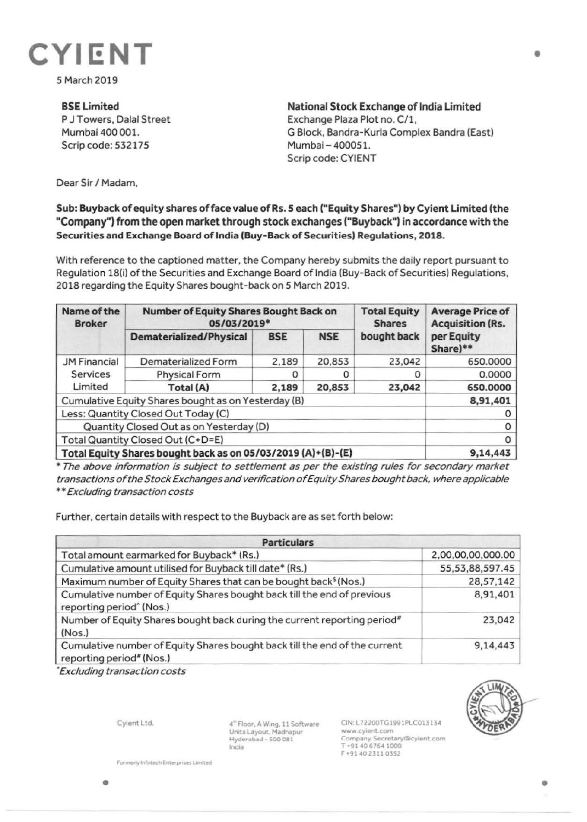

5 March 2019

**BSE Limited**  P J Towers, Dalal Street Mumbai 400 001. Scrip code: 532175

**National Stock Exchange of India Limited**  Exchange Plaza Plot no. C/1, G Block, Bandra-Kurla Complex Sandra (East) Mumbai - 400051. Scrip code: CYIENT

•

Dear Sir/ Madam,

## **Sub: Buyback of equity shares of face value of Rs. 5 each ("Equity Shares") by Cyient Limited (the "Company") from the open market through stock exchanges ("Buyback")** in **accordance with the Securities and Exchange Board of India (Buy-Back of Securities) Regulations, 2018.**

With reference to the captioned matter, the Company hereby submits the daily report pursuant to Regulation 18(i) of the Securities and Exchange Board of India (Buy-Back of Securities) Regulations, 2018 regarding the Equity Shares bought-back on 5 March 2019.

| Name of the<br><b>Broker</b>                                 | Number of Equity Shares Bought Back on<br>05/03/2019* |            |            | <b>Total Equity</b><br><b>Shares</b> | <b>Average Price of</b><br><b>Acquisition (Rs.</b> |
|--------------------------------------------------------------|-------------------------------------------------------|------------|------------|--------------------------------------|----------------------------------------------------|
|                                                              | Dematerialized/Physical                               | <b>BSE</b> | <b>NSE</b> | bought back                          | per Equity<br>Share)**                             |
| <b>JM Financial</b><br><b>Services</b><br>Limited            | Dematerialized Form                                   | 2,189      | 20,853     | 23,042                               | 650.0000                                           |
|                                                              | <b>Physical Form</b>                                  |            |            | 0                                    | 0.0000                                             |
|                                                              | Total (A)                                             | 2,189      | 20,853     | 23,042                               | 650.0000                                           |
| Cumulative Equity Shares bought as on Yesterday (B)          |                                                       |            |            |                                      | 8,91,401                                           |
| Less: Quantity Closed Out Today (C)                          |                                                       |            |            |                                      |                                                    |
| Quantity Closed Out as on Yesterday (D)                      |                                                       |            |            |                                      | 0                                                  |
| Total Quantity Closed Out (C+D=E)                            |                                                       |            |            |                                      | $\circ$                                            |
| Total Equity Shares bought back as on 05/03/2019 (A)+(B)-(E) |                                                       |            |            |                                      | 9,14,443                                           |

\* The above information is subject to settlement as per the existing rules for secondary market transactions of the Stock Exchanges and verification of Equity Shares bought back, where applicable \*\* Excluding transaction costs

Further, certain details with respect to the Buyback are as set forth below:

| <b>Particulars</b>                                                                                              |                     |  |  |  |
|-----------------------------------------------------------------------------------------------------------------|---------------------|--|--|--|
| Total amount earmarked for Buyback* (Rs.)                                                                       | 2,00,00,00,000.00   |  |  |  |
| Cumulative amount utilised for Buyback till date* (Rs.)                                                         | 55, 53, 88, 597. 45 |  |  |  |
| Maximum number of Equity Shares that can be bought back <sup>§</sup> (Nos.)                                     | 28,57,142           |  |  |  |
| Cumulative number of Equity Shares bought back till the end of previous<br>reporting period <sup>^</sup> (Nos.) | 8,91,401            |  |  |  |
| Number of Equity Shares bought back during the current reporting period#<br>(Nos.)                              | 23,042              |  |  |  |
| Cumulative number of Equity Shares bought back till the end of the current<br>reporting period" (Nos.)          | 9,14,443            |  |  |  |

• Excluding transaction costs



•

Cyient Ltd.

4<sup>th</sup> Floor, A Wing, 11 Software Units Layout. Madhapur **Hydcmot>.d** - S00 081 India

CIN: L72200TG1991PLC013134 www.cyjent.com Company.Secretary@cylent.com<br>T +91 40 6764 1000 F •91402311 0352

Formerly Infotech Enterprises Limited